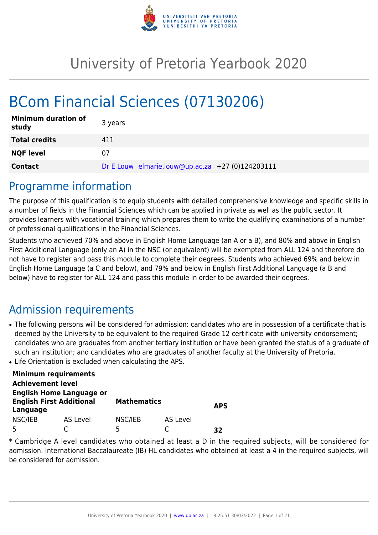

# University of Pretoria Yearbook 2020

# BCom Financial Sciences (07130206)

| <b>Minimum duration of</b><br>study | 3 years                                          |
|-------------------------------------|--------------------------------------------------|
| <b>Total credits</b>                | 411                                              |
| <b>NQF level</b>                    | 07                                               |
| <b>Contact</b>                      | Dr E Louw elmarie.louw@up.ac.za +27 (0)124203111 |

## Programme information

The purpose of this qualification is to equip students with detailed comprehensive knowledge and specific skills in a number of fields in the Financial Sciences which can be applied in private as well as the public sector. It provides learners with vocational training which prepares them to write the qualifying examinations of a number of professional qualifications in the Financial Sciences.

Students who achieved 70% and above in English Home Language (an A or a B), and 80% and above in English First Additional Language (only an A) in the NSC (or equivalent) will be exempted from ALL 124 and therefore do not have to register and pass this module to complete their degrees. Students who achieved 69% and below in English Home Language (a C and below), and 79% and below in English First Additional Language (a B and below) have to register for ALL 124 and pass this module in order to be awarded their degrees.

## Admission requirements

- The following persons will be considered for admission: candidates who are in possession of a certificate that is deemed by the University to be equivalent to the required Grade 12 certificate with university endorsement; candidates who are graduates from another tertiary institution or have been granted the status of a graduate of such an institution; and candidates who are graduates of another faculty at the University of Pretoria.
- Life Orientation is excluded when calculating the APS.

|                          | <b>Minimum requirements</b>                                        |                    |          |            |
|--------------------------|--------------------------------------------------------------------|--------------------|----------|------------|
| <b>Achievement level</b> |                                                                    |                    |          |            |
| Language                 | <b>English Home Language or</b><br><b>English First Additional</b> | <b>Mathematics</b> |          | <b>APS</b> |
| NSC/IEB                  | AS Level                                                           | NSC/IEB            | AS Level |            |
|                          |                                                                    | 5                  |          | 37         |

\* Cambridge A level candidates who obtained at least a D in the required subjects, will be considered for admission. International Baccalaureate (IB) HL candidates who obtained at least a 4 in the required subjects, will be considered for admission.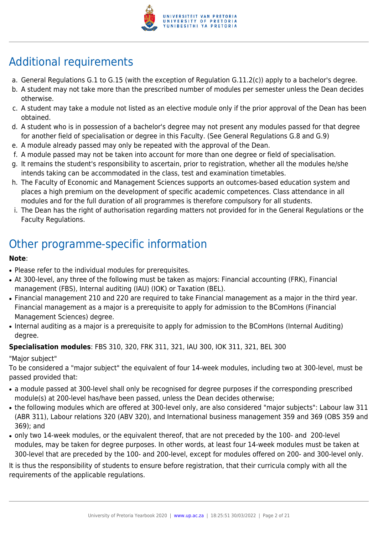

## Additional requirements

- a. General Regulations G.1 to G.15 (with the exception of Regulation G.11.2(c)) apply to a bachelor's degree.
- b. A student may not take more than the prescribed number of modules per semester unless the Dean decides otherwise.
- c. A student may take a module not listed as an elective module only if the prior approval of the Dean has been obtained.
- d. A student who is in possession of a bachelor's degree may not present any modules passed for that degree for another field of specialisation or degree in this Faculty. (See General Regulations G.8 and G.9)
- e. A module already passed may only be repeated with the approval of the Dean.
- f. A module passed may not be taken into account for more than one degree or field of specialisation.
- g. It remains the student's responsibility to ascertain, prior to registration, whether all the modules he/she intends taking can be accommodated in the class, test and examination timetables.
- h. The Faculty of Economic and Management Sciences supports an outcomes-based education system and places a high premium on the development of specific academic competences. Class attendance in all modules and for the full duration of all programmes is therefore compulsory for all students.
- i. The Dean has the right of authorisation regarding matters not provided for in the General Regulations or the Faculty Regulations.

## Other programme-specific information

## **Note**:

- Please refer to the individual modules for prerequisites.
- At 300-level, any three of the following must be taken as majors: Financial accounting (FRK), Financial management (FBS), Internal auditing (IAU) (IOK) or Taxation (BEL).
- Financial management 210 and 220 are required to take Financial management as a major in the third year. Financial management as a major is a prerequisite to apply for admission to the BComHons (Financial Management Sciences) degree.
- Internal auditing as a major is a prerequisite to apply for admission to the BComHons (Internal Auditing) degree.

## **Specialisation modules**: FBS 310, 320, FRK 311, 321, IAU 300, IOK 311, 321, BEL 300

"Major subject"

To be considered a "major subject" the equivalent of four 14-week modules, including two at 300-level, must be passed provided that:

- a module passed at 300-level shall only be recognised for degree purposes if the corresponding prescribed module(s) at 200-level has/have been passed, unless the Dean decides otherwise;
- the following modules which are offered at 300-level only, are also considered "major subjects": Labour law 311 (ABR 311), Labour relations 320 (ABV 320), and International business management 359 and 369 (OBS 359 and 369); and
- only two 14-week modules, or the equivalent thereof, that are not preceded by the 100- and 200-level modules, may be taken for degree purposes. In other words, at least four 14-week modules must be taken at 300-level that are preceded by the 100- and 200-level, except for modules offered on 200- and 300-level only.

It is thus the responsibility of students to ensure before registration, that their curricula comply with all the requirements of the applicable regulations.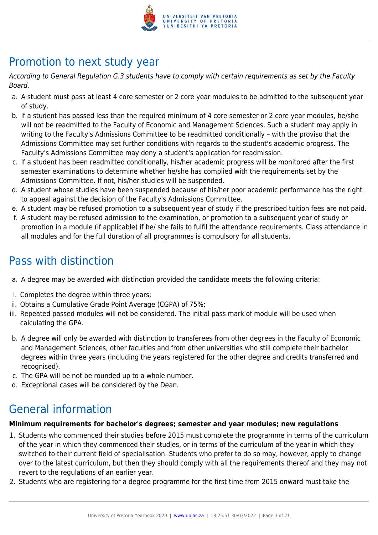

## Promotion to next study year

According to General Regulation G.3 students have to comply with certain requirements as set by the Faculty Board.

- a. A student must pass at least 4 core semester or 2 core year modules to be admitted to the subsequent year of study.
- b. If a student has passed less than the required minimum of 4 core semester or 2 core year modules, he/she will not be readmitted to the Faculty of Economic and Management Sciences. Such a student may apply in writing to the Faculty's Admissions Committee to be readmitted conditionally – with the proviso that the Admissions Committee may set further conditions with regards to the student's academic progress. The Faculty's Admissions Committee may deny a student's application for readmission.
- c. If a student has been readmitted conditionally, his/her academic progress will be monitored after the first semester examinations to determine whether he/she has complied with the requirements set by the Admissions Committee. If not, his/her studies will be suspended.
- d. A student whose studies have been suspended because of his/her poor academic performance has the right to appeal against the decision of the Faculty's Admissions Committee.
- e. A student may be refused promotion to a subsequent year of study if the prescribed tuition fees are not paid.
- f. A student may be refused admission to the examination, or promotion to a subsequent year of study or promotion in a module (if applicable) if he/ she fails to fulfil the attendance requirements. Class attendance in all modules and for the full duration of all programmes is compulsory for all students.

## Pass with distinction

- a. A degree may be awarded with distinction provided the candidate meets the following criteria:
- i. Completes the degree within three years;
- ii. Obtains a Cumulative Grade Point Average (CGPA) of 75%;
- iii. Repeated passed modules will not be considered. The initial pass mark of module will be used when calculating the GPA.
- b. A degree will only be awarded with distinction to transferees from other degrees in the Faculty of Economic and Management Sciences, other faculties and from other universities who still complete their bachelor degrees within three years (including the years registered for the other degree and credits transferred and recognised).
- c. The GPA will be not be rounded up to a whole number.
- d. Exceptional cases will be considered by the Dean.

## General information

## **Minimum requirements for bachelor's degrees; semester and year modules; new regulations**

- 1. Students who commenced their studies before 2015 must complete the programme in terms of the curriculum of the year in which they commenced their studies, or in terms of the curriculum of the year in which they switched to their current field of specialisation. Students who prefer to do so may, however, apply to change over to the latest curriculum, but then they should comply with all the requirements thereof and they may not revert to the regulations of an earlier year.
- 2. Students who are registering for a degree programme for the first time from 2015 onward must take the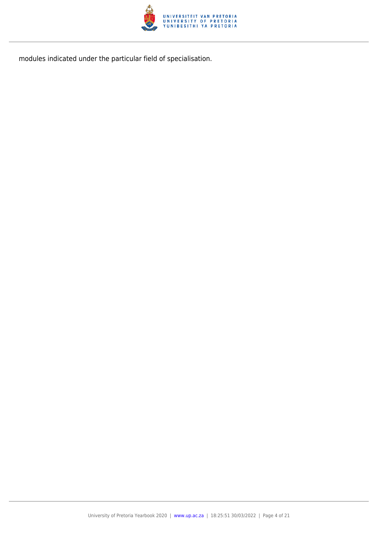

modules indicated under the particular field of specialisation.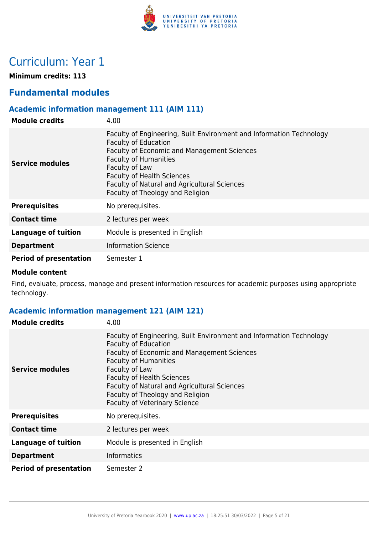

## Curriculum: Year 1

**Minimum credits: 113**

## **Fundamental modules**

## **Academic information management 111 (AIM 111)**

| <b>Module credits</b>         | 4.00                                                                                                                                                                                                                                                                                                                                 |
|-------------------------------|--------------------------------------------------------------------------------------------------------------------------------------------------------------------------------------------------------------------------------------------------------------------------------------------------------------------------------------|
| Service modules               | Faculty of Engineering, Built Environment and Information Technology<br><b>Faculty of Education</b><br><b>Faculty of Economic and Management Sciences</b><br><b>Faculty of Humanities</b><br>Faculty of Law<br><b>Faculty of Health Sciences</b><br>Faculty of Natural and Agricultural Sciences<br>Faculty of Theology and Religion |
| <b>Prerequisites</b>          | No prerequisites.                                                                                                                                                                                                                                                                                                                    |
| <b>Contact time</b>           | 2 lectures per week                                                                                                                                                                                                                                                                                                                  |
| Language of tuition           | Module is presented in English                                                                                                                                                                                                                                                                                                       |
| <b>Department</b>             | <b>Information Science</b>                                                                                                                                                                                                                                                                                                           |
| <b>Period of presentation</b> | Semester 1                                                                                                                                                                                                                                                                                                                           |

#### **Module content**

Find, evaluate, process, manage and present information resources for academic purposes using appropriate technology.

## **Academic information management 121 (AIM 121)**

| <b>Module credits</b>         | 4.00                                                                                                                                                                                                                                                                                                                                                                  |
|-------------------------------|-----------------------------------------------------------------------------------------------------------------------------------------------------------------------------------------------------------------------------------------------------------------------------------------------------------------------------------------------------------------------|
| Service modules               | Faculty of Engineering, Built Environment and Information Technology<br><b>Faculty of Education</b><br>Faculty of Economic and Management Sciences<br><b>Faculty of Humanities</b><br>Faculty of Law<br><b>Faculty of Health Sciences</b><br>Faculty of Natural and Agricultural Sciences<br>Faculty of Theology and Religion<br><b>Faculty of Veterinary Science</b> |
| <b>Prerequisites</b>          | No prerequisites.                                                                                                                                                                                                                                                                                                                                                     |
| <b>Contact time</b>           | 2 lectures per week                                                                                                                                                                                                                                                                                                                                                   |
| <b>Language of tuition</b>    | Module is presented in English                                                                                                                                                                                                                                                                                                                                        |
| <b>Department</b>             | <b>Informatics</b>                                                                                                                                                                                                                                                                                                                                                    |
| <b>Period of presentation</b> | Semester 2                                                                                                                                                                                                                                                                                                                                                            |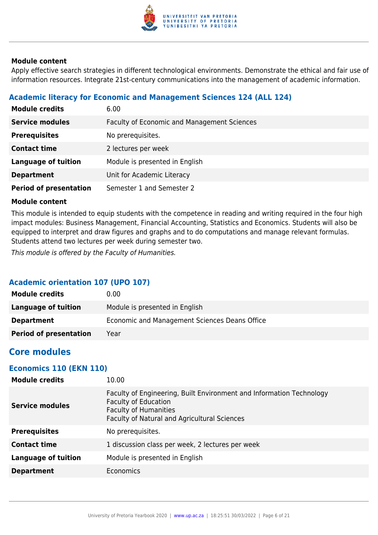

Apply effective search strategies in different technological environments. Demonstrate the ethical and fair use of information resources. Integrate 21st-century communications into the management of academic information.

## **Academic literacy for Economic and Management Sciences 124 (ALL 124)**

| <b>Module credits</b>         | 6.00                                               |
|-------------------------------|----------------------------------------------------|
| <b>Service modules</b>        | <b>Faculty of Economic and Management Sciences</b> |
| <b>Prerequisites</b>          | No prerequisites.                                  |
| <b>Contact time</b>           | 2 lectures per week                                |
| <b>Language of tuition</b>    | Module is presented in English                     |
| <b>Department</b>             | Unit for Academic Literacy                         |
| <b>Period of presentation</b> | Semester 1 and Semester 2                          |

## **Module content**

This module is intended to equip students with the competence in reading and writing required in the four high impact modules: Business Management, Financial Accounting, Statistics and Economics. Students will also be equipped to interpret and draw figures and graphs and to do computations and manage relevant formulas. Students attend two lectures per week during semester two.

This module is offered by the Faculty of Humanities.

## **Academic orientation 107 (UPO 107)**

| <b>Module credits</b>         | 0.00                                          |
|-------------------------------|-----------------------------------------------|
| Language of tuition           | Module is presented in English                |
| <b>Department</b>             | Economic and Management Sciences Deans Office |
| <b>Period of presentation</b> | Year                                          |

## **Core modules**

## **Economics 110 (EKN 110)**

| <b>Module credits</b>      | 10.00                                                                                                                                                                               |
|----------------------------|-------------------------------------------------------------------------------------------------------------------------------------------------------------------------------------|
| <b>Service modules</b>     | Faculty of Engineering, Built Environment and Information Technology<br><b>Faculty of Education</b><br><b>Faculty of Humanities</b><br>Faculty of Natural and Agricultural Sciences |
| <b>Prerequisites</b>       | No prerequisites.                                                                                                                                                                   |
| <b>Contact time</b>        | 1 discussion class per week, 2 lectures per week                                                                                                                                    |
| <b>Language of tuition</b> | Module is presented in English                                                                                                                                                      |
| <b>Department</b>          | Economics                                                                                                                                                                           |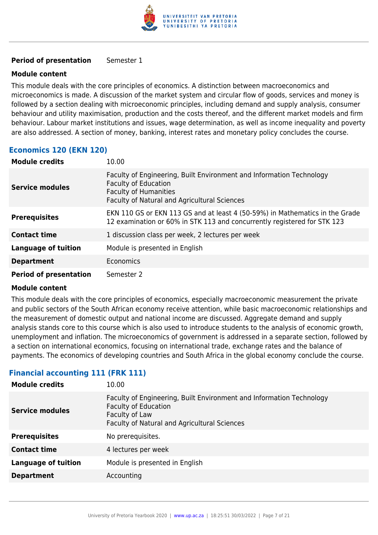

## **Period of presentation** Semester 1

## **Module content**

This module deals with the core principles of economics. A distinction between macroeconomics and microeconomics is made. A discussion of the market system and circular flow of goods, services and money is followed by a section dealing with microeconomic principles, including demand and supply analysis, consumer behaviour and utility maximisation, production and the costs thereof, and the different market models and firm behaviour. Labour market institutions and issues, wage determination, as well as income inequality and poverty are also addressed. A section of money, banking, interest rates and monetary policy concludes the course.

## **Economics 120 (EKN 120)**

| <b>Module credits</b>         | 10.00                                                                                                                                                                               |
|-------------------------------|-------------------------------------------------------------------------------------------------------------------------------------------------------------------------------------|
| <b>Service modules</b>        | Faculty of Engineering, Built Environment and Information Technology<br><b>Faculty of Education</b><br><b>Faculty of Humanities</b><br>Faculty of Natural and Agricultural Sciences |
| <b>Prerequisites</b>          | EKN 110 GS or EKN 113 GS and at least 4 (50-59%) in Mathematics in the Grade<br>12 examination or 60% in STK 113 and concurrently registered for STK 123                            |
| <b>Contact time</b>           | 1 discussion class per week, 2 lectures per week                                                                                                                                    |
| <b>Language of tuition</b>    | Module is presented in English                                                                                                                                                      |
| <b>Department</b>             | <b>Economics</b>                                                                                                                                                                    |
| <b>Period of presentation</b> | Semester 2                                                                                                                                                                          |

#### **Module content**

This module deals with the core principles of economics, especially macroeconomic measurement the private and public sectors of the South African economy receive attention, while basic macroeconomic relationships and the measurement of domestic output and national income are discussed. Aggregate demand and supply analysis stands core to this course which is also used to introduce students to the analysis of economic growth, unemployment and inflation. The microeconomics of government is addressed in a separate section, followed by a section on international economics, focusing on international trade, exchange rates and the balance of payments. The economics of developing countries and South Africa in the global economy conclude the course.

## **Financial accounting 111 (FRK 111)**

| <b>Module credits</b>      | 10.00                                                                                                                                                                        |
|----------------------------|------------------------------------------------------------------------------------------------------------------------------------------------------------------------------|
| <b>Service modules</b>     | Faculty of Engineering, Built Environment and Information Technology<br><b>Faculty of Education</b><br>Faculty of Law<br><b>Faculty of Natural and Agricultural Sciences</b> |
| <b>Prerequisites</b>       | No prerequisites.                                                                                                                                                            |
| <b>Contact time</b>        | 4 lectures per week                                                                                                                                                          |
| <b>Language of tuition</b> | Module is presented in English                                                                                                                                               |
| <b>Department</b>          | Accounting                                                                                                                                                                   |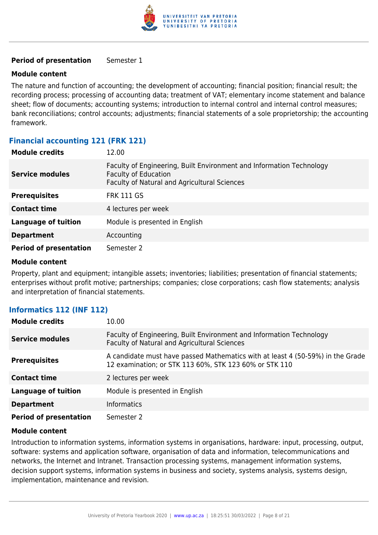

## **Period of presentation** Semester 1

## **Module content**

The nature and function of accounting; the development of accounting; financial position; financial result; the recording process; processing of accounting data; treatment of VAT; elementary income statement and balance sheet; flow of documents; accounting systems; introduction to internal control and internal control measures; bank reconciliations; control accounts; adjustments; financial statements of a sole proprietorship; the accounting framework.

## **Financial accounting 121 (FRK 121)**

| <b>Module credits</b>         | 12.00                                                                                                                                               |
|-------------------------------|-----------------------------------------------------------------------------------------------------------------------------------------------------|
| <b>Service modules</b>        | Faculty of Engineering, Built Environment and Information Technology<br><b>Faculty of Education</b><br>Faculty of Natural and Agricultural Sciences |
| <b>Prerequisites</b>          | <b>FRK 111 GS</b>                                                                                                                                   |
| <b>Contact time</b>           | 4 lectures per week                                                                                                                                 |
| <b>Language of tuition</b>    | Module is presented in English                                                                                                                      |
| <b>Department</b>             | Accounting                                                                                                                                          |
| <b>Period of presentation</b> | Semester 2                                                                                                                                          |

#### **Module content**

Property, plant and equipment; intangible assets; inventories; liabilities; presentation of financial statements; enterprises without profit motive; partnerships; companies; close corporations; cash flow statements; analysis and interpretation of financial statements.

## **Informatics 112 (INF 112)**

| <b>Module credits</b>         | 10.00                                                                                                                                    |
|-------------------------------|------------------------------------------------------------------------------------------------------------------------------------------|
| <b>Service modules</b>        | Faculty of Engineering, Built Environment and Information Technology<br><b>Faculty of Natural and Agricultural Sciences</b>              |
| <b>Prerequisites</b>          | A candidate must have passed Mathematics with at least 4 (50-59%) in the Grade<br>12 examination; or STK 113 60%, STK 123 60% or STK 110 |
| <b>Contact time</b>           | 2 lectures per week                                                                                                                      |
| <b>Language of tuition</b>    | Module is presented in English                                                                                                           |
| <b>Department</b>             | <b>Informatics</b>                                                                                                                       |
| <b>Period of presentation</b> | Semester 2                                                                                                                               |

#### **Module content**

Introduction to information systems, information systems in organisations, hardware: input, processing, output, software: systems and application software, organisation of data and information, telecommunications and networks, the Internet and Intranet. Transaction processing systems, management information systems, decision support systems, information systems in business and society, systems analysis, systems design, implementation, maintenance and revision.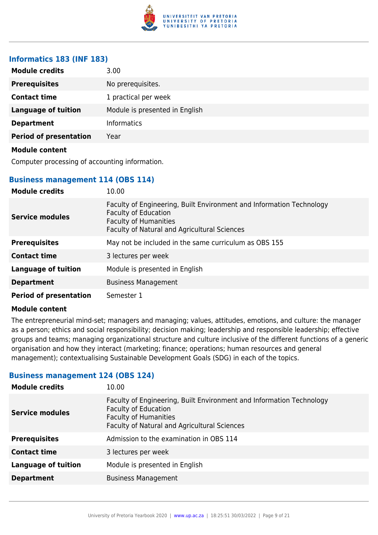

## **Informatics 183 (INF 183)**

| <b>Module credits</b>         | 3.00                           |
|-------------------------------|--------------------------------|
| <b>Prerequisites</b>          | No prerequisites.              |
| <b>Contact time</b>           | 1 practical per week           |
| <b>Language of tuition</b>    | Module is presented in English |
| <b>Department</b>             | <b>Informatics</b>             |
| <b>Period of presentation</b> | Year                           |
| <b>Module content</b>         |                                |

Computer processing of accounting information.

## **Business management 114 (OBS 114)**

| <b>Module credits</b>         | 10.00                                                                                                                                                                                      |
|-------------------------------|--------------------------------------------------------------------------------------------------------------------------------------------------------------------------------------------|
| <b>Service modules</b>        | Faculty of Engineering, Built Environment and Information Technology<br><b>Faculty of Education</b><br><b>Faculty of Humanities</b><br><b>Faculty of Natural and Agricultural Sciences</b> |
| <b>Prerequisites</b>          | May not be included in the same curriculum as OBS 155                                                                                                                                      |
| <b>Contact time</b>           | 3 lectures per week                                                                                                                                                                        |
| <b>Language of tuition</b>    | Module is presented in English                                                                                                                                                             |
| <b>Department</b>             | <b>Business Management</b>                                                                                                                                                                 |
| <b>Period of presentation</b> | Semester 1                                                                                                                                                                                 |

#### **Module content**

The entrepreneurial mind-set; managers and managing; values, attitudes, emotions, and culture: the manager as a person; ethics and social responsibility; decision making; leadership and responsible leadership; effective groups and teams; managing organizational structure and culture inclusive of the different functions of a generic organisation and how they interact (marketing; finance; operations; human resources and general management); contextualising Sustainable Development Goals (SDG) in each of the topics.

## **Business management 124 (OBS 124)**

| <b>Module credits</b>      | 10.00                                                                                                                                                                               |
|----------------------------|-------------------------------------------------------------------------------------------------------------------------------------------------------------------------------------|
| <b>Service modules</b>     | Faculty of Engineering, Built Environment and Information Technology<br><b>Faculty of Education</b><br><b>Faculty of Humanities</b><br>Faculty of Natural and Agricultural Sciences |
| <b>Prerequisites</b>       | Admission to the examination in OBS 114                                                                                                                                             |
| <b>Contact time</b>        | 3 lectures per week                                                                                                                                                                 |
| <b>Language of tuition</b> | Module is presented in English                                                                                                                                                      |
| <b>Department</b>          | <b>Business Management</b>                                                                                                                                                          |
|                            |                                                                                                                                                                                     |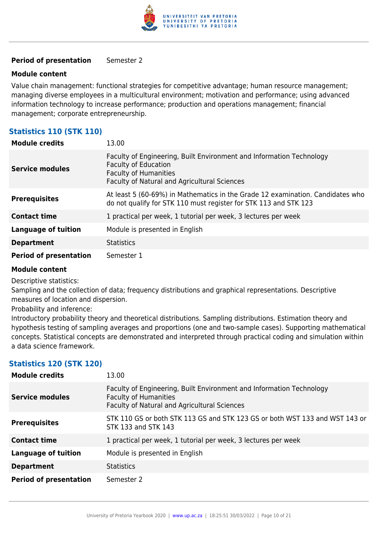

## **Period of presentation** Semester 2

### **Module content**

Value chain management: functional strategies for competitive advantage; human resource management; managing diverse employees in a multicultural environment; motivation and performance; using advanced information technology to increase performance; production and operations management; financial management; corporate entrepreneurship.

## **Statistics 110 (STK 110)**

| <b>Module credits</b>         | 13.00                                                                                                                                                                               |
|-------------------------------|-------------------------------------------------------------------------------------------------------------------------------------------------------------------------------------|
| <b>Service modules</b>        | Faculty of Engineering, Built Environment and Information Technology<br><b>Faculty of Education</b><br><b>Faculty of Humanities</b><br>Faculty of Natural and Agricultural Sciences |
| <b>Prerequisites</b>          | At least 5 (60-69%) in Mathematics in the Grade 12 examination. Candidates who<br>do not qualify for STK 110 must register for STK 113 and STK 123                                  |
| <b>Contact time</b>           | 1 practical per week, 1 tutorial per week, 3 lectures per week                                                                                                                      |
| <b>Language of tuition</b>    | Module is presented in English                                                                                                                                                      |
| <b>Department</b>             | <b>Statistics</b>                                                                                                                                                                   |
| <b>Period of presentation</b> | Semester 1                                                                                                                                                                          |

#### **Module content**

Descriptive statistics:

Sampling and the collection of data; frequency distributions and graphical representations. Descriptive measures of location and dispersion.

Probability and inference:

Introductory probability theory and theoretical distributions. Sampling distributions. Estimation theory and hypothesis testing of sampling averages and proportions (one and two-sample cases). Supporting mathematical concepts. Statistical concepts are demonstrated and interpreted through practical coding and simulation within a data science framework.

## **Statistics 120 (STK 120)**

| <b>Module credits</b>         | 13.00                                                                                                                                                |
|-------------------------------|------------------------------------------------------------------------------------------------------------------------------------------------------|
| <b>Service modules</b>        | Faculty of Engineering, Built Environment and Information Technology<br><b>Faculty of Humanities</b><br>Faculty of Natural and Agricultural Sciences |
| <b>Prerequisites</b>          | STK 110 GS or both STK 113 GS and STK 123 GS or both WST 133 and WST 143 or<br>STK 133 and STK 143                                                   |
| <b>Contact time</b>           | 1 practical per week, 1 tutorial per week, 3 lectures per week                                                                                       |
| <b>Language of tuition</b>    | Module is presented in English                                                                                                                       |
| <b>Department</b>             | <b>Statistics</b>                                                                                                                                    |
| <b>Period of presentation</b> | Semester 2                                                                                                                                           |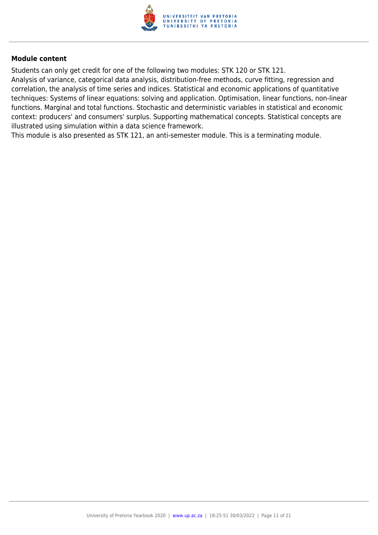

Students can only get credit for one of the following two modules: STK 120 or STK 121. Analysis of variance, categorical data analysis, distribution-free methods, curve fitting, regression and correlation, the analysis of time series and indices. Statistical and economic applications of quantitative techniques: Systems of linear equations: solving and application. Optimisation, linear functions, non-linear functions. Marginal and total functions. Stochastic and deterministic variables in statistical and economic context: producers' and consumers' surplus. Supporting mathematical concepts. Statistical concepts are illustrated using simulation within a data science framework.

This module is also presented as STK 121, an anti-semester module. This is a terminating module.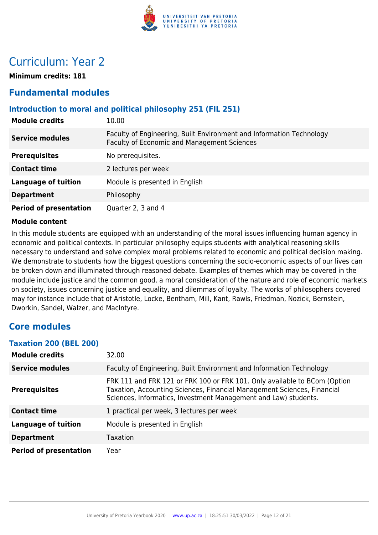

## Curriculum: Year 2

**Minimum credits: 181**

## **Fundamental modules**

## **Introduction to moral and political philosophy 251 (FIL 251)**

| <b>Module credits</b>         | 10.00                                                                                                                      |
|-------------------------------|----------------------------------------------------------------------------------------------------------------------------|
| <b>Service modules</b>        | Faculty of Engineering, Built Environment and Information Technology<br><b>Faculty of Economic and Management Sciences</b> |
| <b>Prerequisites</b>          | No prerequisites.                                                                                                          |
| <b>Contact time</b>           | 2 lectures per week                                                                                                        |
| <b>Language of tuition</b>    | Module is presented in English                                                                                             |
| <b>Department</b>             | Philosophy                                                                                                                 |
| <b>Period of presentation</b> | Quarter 2, 3 and 4                                                                                                         |

### **Module content**

In this module students are equipped with an understanding of the moral issues influencing human agency in economic and political contexts. In particular philosophy equips students with analytical reasoning skills necessary to understand and solve complex moral problems related to economic and political decision making. We demonstrate to students how the biggest questions concerning the socio-economic aspects of our lives can be broken down and illuminated through reasoned debate. Examples of themes which may be covered in the module include justice and the common good, a moral consideration of the nature and role of economic markets on society, issues concerning justice and equality, and dilemmas of loyalty. The works of philosophers covered may for instance include that of Aristotle, Locke, Bentham, Mill, Kant, Rawls, Friedman, Nozick, Bernstein, Dworkin, Sandel, Walzer, and MacIntyre.

## **Core modules**

#### **Taxation 200 (BEL 200)**

| <b>Module credits</b>         | 32.00                                                                                                                                                                                                                   |
|-------------------------------|-------------------------------------------------------------------------------------------------------------------------------------------------------------------------------------------------------------------------|
| <b>Service modules</b>        | Faculty of Engineering, Built Environment and Information Technology                                                                                                                                                    |
| <b>Prerequisites</b>          | FRK 111 and FRK 121 or FRK 100 or FRK 101. Only available to BCom (Option<br>Taxation, Accounting Sciences, Financial Management Sciences, Financial<br>Sciences, Informatics, Investment Management and Law) students. |
| <b>Contact time</b>           | 1 practical per week, 3 lectures per week                                                                                                                                                                               |
| <b>Language of tuition</b>    | Module is presented in English                                                                                                                                                                                          |
| <b>Department</b>             | <b>Taxation</b>                                                                                                                                                                                                         |
| <b>Period of presentation</b> | Year                                                                                                                                                                                                                    |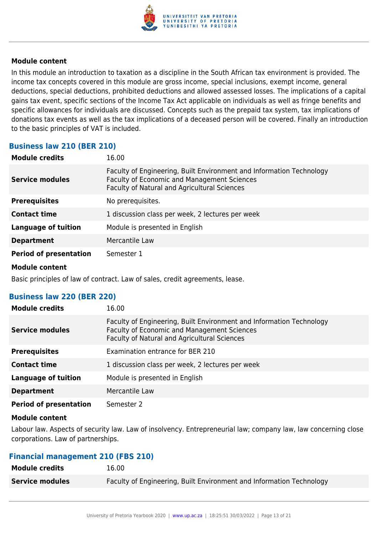

In this module an introduction to taxation as a discipline in the South African tax environment is provided. The income tax concepts covered in this module are gross income, special inclusions, exempt income, general deductions, special deductions, prohibited deductions and allowed assessed losses. The implications of a capital gains tax event, specific sections of the Income Tax Act applicable on individuals as well as fringe benefits and specific allowances for individuals are discussed. Concepts such as the prepaid tax system, tax implications of donations tax events as well as the tax implications of a deceased person will be covered. Finally an introduction to the basic principles of VAT is included.

## **Business law 210 (BER 210)**

| <b>Module credits</b>         | 16.00                                                                                                                                                                      |
|-------------------------------|----------------------------------------------------------------------------------------------------------------------------------------------------------------------------|
| <b>Service modules</b>        | Faculty of Engineering, Built Environment and Information Technology<br><b>Faculty of Economic and Management Sciences</b><br>Faculty of Natural and Agricultural Sciences |
| <b>Prerequisites</b>          | No prerequisites.                                                                                                                                                          |
| <b>Contact time</b>           | 1 discussion class per week, 2 lectures per week                                                                                                                           |
| <b>Language of tuition</b>    | Module is presented in English                                                                                                                                             |
| <b>Department</b>             | Mercantile Law                                                                                                                                                             |
| <b>Period of presentation</b> | Semester 1                                                                                                                                                                 |
| .                             |                                                                                                                                                                            |

#### **Module content**

Basic principles of law of contract. Law of sales, credit agreements, lease.

## **Business law 220 (BER 220)**

| <b>Module credits</b>         | 16.00                                                                                                                                                               |
|-------------------------------|---------------------------------------------------------------------------------------------------------------------------------------------------------------------|
| <b>Service modules</b>        | Faculty of Engineering, Built Environment and Information Technology<br>Faculty of Economic and Management Sciences<br>Faculty of Natural and Agricultural Sciences |
| <b>Prerequisites</b>          | Examination entrance for BER 210                                                                                                                                    |
| <b>Contact time</b>           | 1 discussion class per week, 2 lectures per week                                                                                                                    |
| Language of tuition           | Module is presented in English                                                                                                                                      |
| <b>Department</b>             | Mercantile Law                                                                                                                                                      |
| <b>Period of presentation</b> | Semester 2                                                                                                                                                          |

#### **Module content**

Labour law. Aspects of security law. Law of insolvency. Entrepreneurial law; company law, law concerning close corporations. Law of partnerships.

## **Financial management 210 (FBS 210)**

| <b>Module credits</b>  | 16.00                                                                |
|------------------------|----------------------------------------------------------------------|
| <b>Service modules</b> | Faculty of Engineering, Built Environment and Information Technology |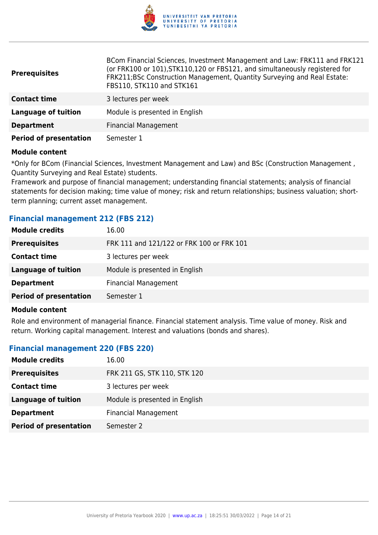

| <b>Prerequisites</b>          | BCom Financial Sciences, Investment Management and Law: FRK111 and FRK121<br>(or FRK100 or 101), STK110, 120 or FBS121, and simultaneously registered for<br>FRK211;BSc Construction Management, Quantity Surveying and Real Estate:<br>FBS110, STK110 and STK161 |
|-------------------------------|-------------------------------------------------------------------------------------------------------------------------------------------------------------------------------------------------------------------------------------------------------------------|
| <b>Contact time</b>           | 3 lectures per week                                                                                                                                                                                                                                               |
| <b>Language of tuition</b>    | Module is presented in English                                                                                                                                                                                                                                    |
| <b>Department</b>             | <b>Financial Management</b>                                                                                                                                                                                                                                       |
| <b>Period of presentation</b> | Semester 1                                                                                                                                                                                                                                                        |

\*Only for BCom (Financial Sciences, Investment Management and Law) and BSc (Construction Management , Quantity Surveying and Real Estate) students.

Framework and purpose of financial management; understanding financial statements; analysis of financial statements for decision making; time value of money; risk and return relationships; business valuation; shortterm planning; current asset management.

## **Financial management 212 (FBS 212)**

| <b>Module credits</b>         | 16.00                                     |
|-------------------------------|-------------------------------------------|
| <b>Prerequisites</b>          | FRK 111 and 121/122 or FRK 100 or FRK 101 |
| <b>Contact time</b>           | 3 lectures per week                       |
| Language of tuition           | Module is presented in English            |
| <b>Department</b>             | <b>Financial Management</b>               |
| <b>Period of presentation</b> | Semester 1                                |
|                               |                                           |

#### **Module content**

Role and environment of managerial finance. Financial statement analysis. Time value of money. Risk and return. Working capital management. Interest and valuations (bonds and shares).

## **Financial management 220 (FBS 220)**

| <b>Module credits</b>         | 16.00                          |
|-------------------------------|--------------------------------|
| <b>Prerequisites</b>          | FRK 211 GS, STK 110, STK 120   |
| <b>Contact time</b>           | 3 lectures per week            |
| Language of tuition           | Module is presented in English |
| <b>Department</b>             | <b>Financial Management</b>    |
| <b>Period of presentation</b> | Semester 2                     |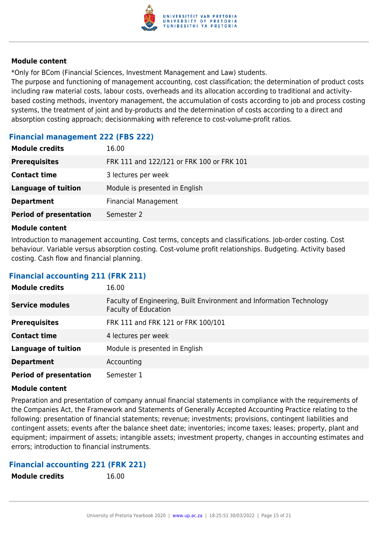

\*Only for BCom (Financial Sciences, Investment Management and Law) students.

The purpose and functioning of management accounting, cost classification; the determination of product costs including raw material costs, labour costs, overheads and its allocation according to traditional and activitybased costing methods, inventory management, the accumulation of costs according to job and process costing systems, the treatment of joint and by-products and the determination of costs according to a direct and absorption costing approach; decisionmaking with reference to cost-volume-profit ratios.

## **Financial management 222 (FBS 222)**

| 16.00                                     |
|-------------------------------------------|
| FRK 111 and 122/121 or FRK 100 or FRK 101 |
| 3 lectures per week                       |
| Module is presented in English            |
| <b>Financial Management</b>               |
| Semester 2                                |
|                                           |

## **Module content**

Introduction to management accounting. Cost terms, concepts and classifications. Job-order costing. Cost behaviour. Variable versus absorption costing. Cost-volume profit relationships. Budgeting. Activity based costing. Cash flow and financial planning.

## **Financial accounting 211 (FRK 211)**

| <b>Module credits</b>         | 16.00                                                                                               |
|-------------------------------|-----------------------------------------------------------------------------------------------------|
| <b>Service modules</b>        | Faculty of Engineering, Built Environment and Information Technology<br><b>Faculty of Education</b> |
| <b>Prerequisites</b>          | FRK 111 and FRK 121 or FRK 100/101                                                                  |
| <b>Contact time</b>           | 4 lectures per week                                                                                 |
| <b>Language of tuition</b>    | Module is presented in English                                                                      |
| <b>Department</b>             | Accounting                                                                                          |
| <b>Period of presentation</b> | Semester 1                                                                                          |

## **Module content**

Preparation and presentation of company annual financial statements in compliance with the requirements of the Companies Act, the Framework and Statements of Generally Accepted Accounting Practice relating to the following: presentation of financial statements; revenue; investments; provisions, contingent liabilities and contingent assets; events after the balance sheet date; inventories; income taxes; leases; property, plant and equipment; impairment of assets; intangible assets; investment property, changes in accounting estimates and errors; introduction to financial instruments.

## **Financial accounting 221 (FRK 221)**

**Module credits** 16.00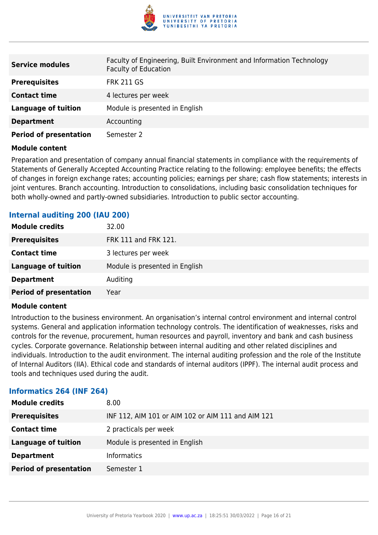

| <b>Service modules</b>        | Faculty of Engineering, Built Environment and Information Technology<br><b>Faculty of Education</b> |
|-------------------------------|-----------------------------------------------------------------------------------------------------|
| <b>Prerequisites</b>          | <b>FRK 211 GS</b>                                                                                   |
| <b>Contact time</b>           | 4 lectures per week                                                                                 |
| <b>Language of tuition</b>    | Module is presented in English                                                                      |
| <b>Department</b>             | Accounting                                                                                          |
| <b>Period of presentation</b> | Semester 2                                                                                          |

Preparation and presentation of company annual financial statements in compliance with the requirements of Statements of Generally Accepted Accounting Practice relating to the following: employee benefits; the effects of changes in foreign exchange rates; accounting policies; earnings per share; cash flow statements; interests in joint ventures. Branch accounting. Introduction to consolidations, including basic consolidation techniques for both wholly-owned and partly-owned subsidiaries. Introduction to public sector accounting.

| <b>Module credits</b>         | 32.00                          |
|-------------------------------|--------------------------------|
| <b>Prerequisites</b>          | FRK 111 and FRK 121.           |
| <b>Contact time</b>           | 3 lectures per week            |
| <b>Language of tuition</b>    | Module is presented in English |
| <b>Department</b>             | Auditing                       |
| <b>Period of presentation</b> | Year                           |

## **Internal auditing 200 (IAU 200)**

#### **Module content**

Introduction to the business environment. An organisation's internal control environment and internal control systems. General and application information technology controls. The identification of weaknesses, risks and controls for the revenue, procurement, human resources and payroll, inventory and bank and cash business cycles. Corporate governance. Relationship between internal auditing and other related disciplines and individuals. Introduction to the audit environment. The internal auditing profession and the role of the Institute of Internal Auditors (IIA). Ethical code and standards of internal auditors (IPPF). The internal audit process and tools and techniques used during the audit.

## **Informatics 264 (INF 264)**

| <b>Module credits</b>         | 8.00                                               |
|-------------------------------|----------------------------------------------------|
| <b>Prerequisites</b>          | INF 112, AIM 101 or AIM 102 or AIM 111 and AIM 121 |
| <b>Contact time</b>           | 2 practicals per week                              |
| <b>Language of tuition</b>    | Module is presented in English                     |
| <b>Department</b>             | <b>Informatics</b>                                 |
| <b>Period of presentation</b> | Semester 1                                         |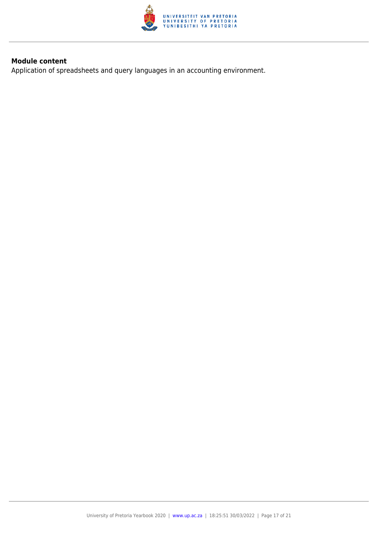

Application of spreadsheets and query languages in an accounting environment.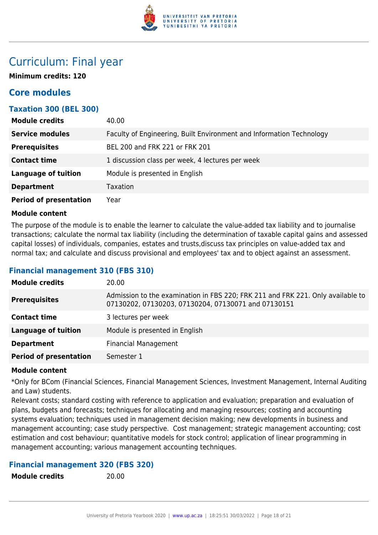

## Curriculum: Final year

**Minimum credits: 120**

## **Core modules**

## **Taxation 300 (BEL 300)**

| <b>Module credits</b>         | 40.00                                                                |
|-------------------------------|----------------------------------------------------------------------|
| <b>Service modules</b>        | Faculty of Engineering, Built Environment and Information Technology |
| <b>Prerequisites</b>          | BEL 200 and FRK 221 or FRK 201                                       |
| <b>Contact time</b>           | 1 discussion class per week, 4 lectures per week                     |
| <b>Language of tuition</b>    | Module is presented in English                                       |
| <b>Department</b>             | Taxation                                                             |
| <b>Period of presentation</b> | Year                                                                 |

## **Module content**

The purpose of the module is to enable the learner to calculate the value-added tax liability and to journalise transactions; calculate the normal tax liability (including the determination of taxable capital gains and assessed capital losses) of individuals, companies, estates and trusts,discuss tax principles on value-added tax and normal tax; and calculate and discuss provisional and employees' tax and to object against an assessment.

## **Financial management 310 (FBS 310)**

| <b>Module credits</b>         | 20.00                                                                                                                                  |
|-------------------------------|----------------------------------------------------------------------------------------------------------------------------------------|
| <b>Prerequisites</b>          | Admission to the examination in FBS 220; FRK 211 and FRK 221. Only available to<br>07130202, 07130203, 07130204, 07130071 and 07130151 |
| <b>Contact time</b>           | 3 lectures per week                                                                                                                    |
| <b>Language of tuition</b>    | Module is presented in English                                                                                                         |
| <b>Department</b>             | <b>Financial Management</b>                                                                                                            |
| <b>Period of presentation</b> | Semester 1                                                                                                                             |
|                               |                                                                                                                                        |

## **Module content**

\*Only for BCom (Financial Sciences, Financial Management Sciences, Investment Management, Internal Auditing and Law) students.

Relevant costs; standard costing with reference to application and evaluation; preparation and evaluation of plans, budgets and forecasts; techniques for allocating and managing resources; costing and accounting systems evaluation; techniques used in management decision making; new developments in business and management accounting; case study perspective. Cost management; strategic management accounting; cost estimation and cost behaviour; quantitative models for stock control; application of linear programming in management accounting; various management accounting techniques.

## **Financial management 320 (FBS 320)**

**Module credits** 20.00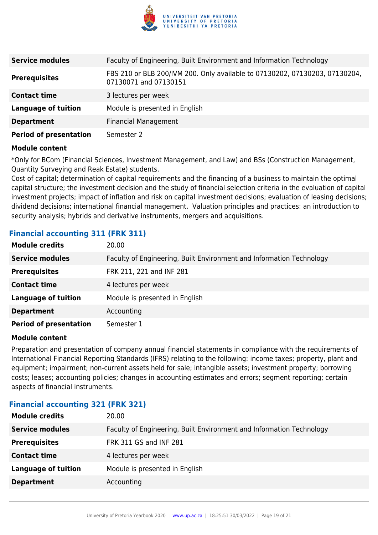

| <b>Service modules</b>        | Faculty of Engineering, Built Environment and Information Technology                                 |
|-------------------------------|------------------------------------------------------------------------------------------------------|
| <b>Prerequisites</b>          | FBS 210 or BLB 200/IVM 200. Only available to 07130202, 07130203, 07130204,<br>07130071 and 07130151 |
| <b>Contact time</b>           | 3 lectures per week                                                                                  |
| <b>Language of tuition</b>    | Module is presented in English                                                                       |
| <b>Department</b>             | <b>Financial Management</b>                                                                          |
| <b>Period of presentation</b> | Semester 2                                                                                           |

\*Only for BCom (Financial Sciences, Investment Management, and Law) and BSs (Construction Management, Quantity Surveying and Reak Estate) students.

Cost of capital; determination of capital requirements and the financing of a business to maintain the optimal capital structure; the investment decision and the study of financial selection criteria in the evaluation of capital investment projects; impact of inflation and risk on capital investment decisions; evaluation of leasing decisions; dividend decisions; international financial management. Valuation principles and practices: an introduction to security analysis; hybrids and derivative instruments, mergers and acquisitions.

## **Financial accounting 311 (FRK 311)**

| <b>Module credits</b>         | 20.00                                                                |
|-------------------------------|----------------------------------------------------------------------|
| <b>Service modules</b>        | Faculty of Engineering, Built Environment and Information Technology |
| <b>Prerequisites</b>          | FRK 211, 221 and INF 281                                             |
| <b>Contact time</b>           | 4 lectures per week                                                  |
| <b>Language of tuition</b>    | Module is presented in English                                       |
| <b>Department</b>             | Accounting                                                           |
| <b>Period of presentation</b> | Semester 1                                                           |

#### **Module content**

Preparation and presentation of company annual financial statements in compliance with the requirements of International Financial Reporting Standards (IFRS) relating to the following: income taxes; property, plant and equipment; impairment; non-current assets held for sale; intangible assets; investment property; borrowing costs; leases; accounting policies; changes in accounting estimates and errors; segment reporting; certain aspects of financial instruments.

## **Financial accounting 321 (FRK 321)**

| <b>Module credits</b>      | 20.00                                                                |
|----------------------------|----------------------------------------------------------------------|
| <b>Service modules</b>     | Faculty of Engineering, Built Environment and Information Technology |
| <b>Prerequisites</b>       | FRK 311 GS and INF 281                                               |
| <b>Contact time</b>        | 4 lectures per week                                                  |
| <b>Language of tuition</b> | Module is presented in English                                       |
| <b>Department</b>          | Accounting                                                           |
|                            |                                                                      |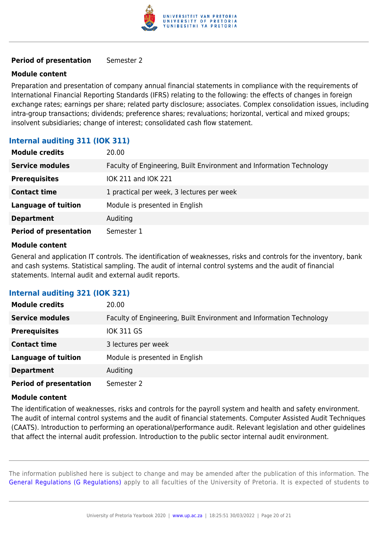

## **Period of presentation** Semester 2

## **Module content**

Preparation and presentation of company annual financial statements in compliance with the requirements of International Financial Reporting Standards (IFRS) relating to the following: the effects of changes in foreign exchange rates; earnings per share; related party disclosure; associates. Complex consolidation issues, including intra-group transactions; dividends; preference shares; revaluations; horizontal, vertical and mixed groups; insolvent subsidiaries; change of interest; consolidated cash flow statement.

## **Internal auditing 311 (IOK 311)**

| <b>Module credits</b>         | 20.00                                                                |
|-------------------------------|----------------------------------------------------------------------|
| <b>Service modules</b>        | Faculty of Engineering, Built Environment and Information Technology |
| <b>Prerequisites</b>          | IOK 211 and IOK 221                                                  |
| <b>Contact time</b>           | 1 practical per week, 3 lectures per week                            |
| <b>Language of tuition</b>    | Module is presented in English                                       |
| <b>Department</b>             | Auditing                                                             |
| <b>Period of presentation</b> | Semester 1                                                           |

### **Module content**

General and application IT controls. The identification of weaknesses, risks and controls for the inventory, bank and cash systems. Statistical sampling. The audit of internal control systems and the audit of financial statements. Internal audit and external audit reports.

## **Internal auditing 321 (IOK 321)**

| <b>Module credits</b>         | 20.00                                                                |
|-------------------------------|----------------------------------------------------------------------|
| <b>Service modules</b>        | Faculty of Engineering, Built Environment and Information Technology |
| <b>Prerequisites</b>          | IOK 311 GS                                                           |
| <b>Contact time</b>           | 3 lectures per week                                                  |
| <b>Language of tuition</b>    | Module is presented in English                                       |
| <b>Department</b>             | Auditing                                                             |
| <b>Period of presentation</b> | Semester 2                                                           |

#### **Module content**

The identification of weaknesses, risks and controls for the payroll system and health and safety environment. The audit of internal control systems and the audit of financial statements. Computer Assisted Audit Techniques (CAATS). Introduction to performing an operational/performance audit. Relevant legislation and other guidelines that affect the internal audit profession. Introduction to the public sector internal audit environment.

The information published here is subject to change and may be amended after the publication of this information. The [General Regulations \(G Regulations\)](https://www.up.ac.za/yearbooks/2020/rules/view/REG) apply to all faculties of the University of Pretoria. It is expected of students to